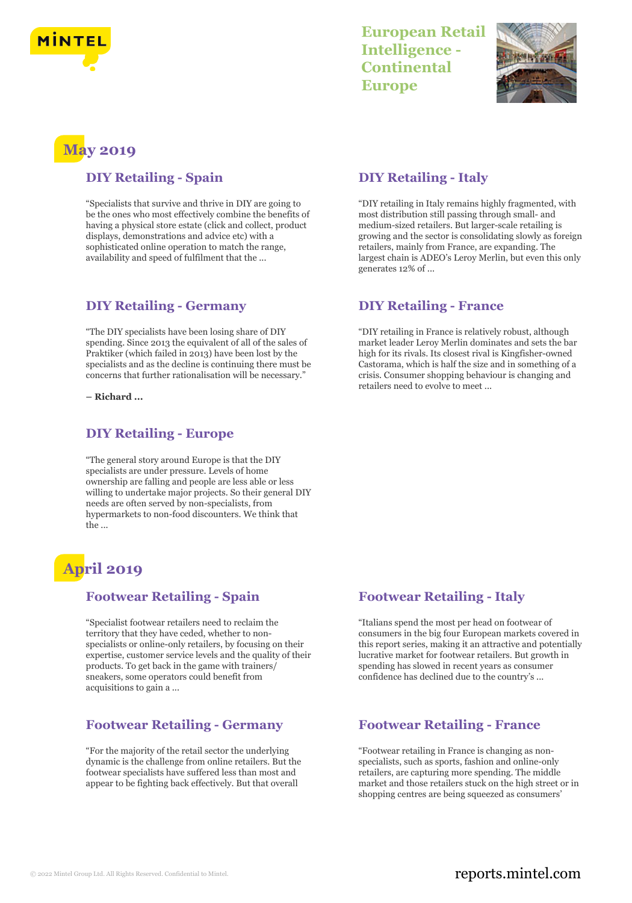

## **European Retail Intelligence - Continental Europe**



# **May 2019**

#### **DIY Retailing - Spain**

"Specialists that survive and thrive in DIY are going to be the ones who most effectively combine the benefits of having a physical store estate (click and collect, product displays, demonstrations and advice etc) with a sophisticated online operation to match the range, availability and speed of fulfilment that the ...

### **DIY Retailing - Germany**

"The DIY specialists have been losing share of DIY spending. Since 2013 the equivalent of all of the sales of Praktiker (which failed in 2013) have been lost by the specialists and as the decline is continuing there must be concerns that further rationalisation will be necessary."

**– Richard ...**

#### **DIY Retailing - Europe**

"The general story around Europe is that the DIY specialists are under pressure. Levels of home ownership are falling and people are less able or less willing to undertake major projects. So their general DIY needs are often served by non-specialists, from hypermarkets to non-food discounters. We think that  $the$ 

# **April 2019**

#### **Footwear Retailing - Spain**

"Specialist footwear retailers need to reclaim the territory that they have ceded, whether to nonspecialists or online-only retailers, by focusing on their expertise, customer service levels and the quality of their products. To get back in the game with trainers/ sneakers, some operators could benefit from acquisitions to gain a ...

#### **Footwear Retailing - Germany**

"For the majority of the retail sector the underlying dynamic is the challenge from online retailers. But the footwear specialists have suffered less than most and appear to be fighting back effectively. But that overall

#### **DIY Retailing - Italy**

"DIY retailing in Italy remains highly fragmented, with most distribution still passing through small- and medium-sized retailers. But larger-scale retailing is growing and the sector is consolidating slowly as foreign retailers, mainly from France, are expanding. The largest chain is ADEO's Leroy Merlin, but even this only generates 12% of ...

#### **DIY Retailing - France**

"DIY retailing in France is relatively robust, although market leader Leroy Merlin dominates and sets the bar high for its rivals. Its closest rival is Kingfisher-owned Castorama, which is half the size and in something of a crisis. Consumer shopping behaviour is changing and retailers need to evolve to meet ...

#### **Footwear Retailing - Italy**

"Italians spend the most per head on footwear of consumers in the big four European markets covered in this report series, making it an attractive and potentially lucrative market for footwear retailers. But growth in spending has slowed in recent years as consumer confidence has declined due to the country's ...

#### **Footwear Retailing - France**

"Footwear retailing in France is changing as nonspecialists, such as sports, fashion and online-only retailers, are capturing more spending. The middle market and those retailers stuck on the high street or in shopping centres are being squeezed as consumers'